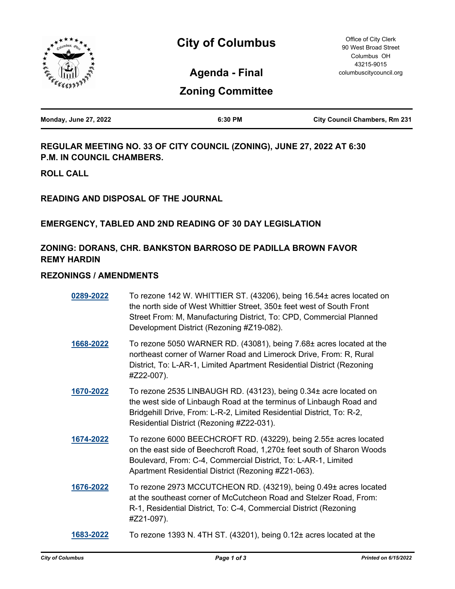

**Agenda - Final**

# **Zoning Committee**

| <b>Monday, June 27, 2022</b> | 6:30 PM | <b>City Council Chambers, Rm 231</b> |
|------------------------------|---------|--------------------------------------|
|                              |         |                                      |

**REGULAR MEETING NO. 33 OF CITY COUNCIL (ZONING), JUNE 27, 2022 AT 6:30 P.M. IN COUNCIL CHAMBERS.**

**ROLL CALL**

**READING AND DISPOSAL OF THE JOURNAL**

### **EMERGENCY, TABLED AND 2ND READING OF 30 DAY LEGISLATION**

## **ZONING: DORANS, CHR. BANKSTON BARROSO DE PADILLA BROWN FAVOR REMY HARDIN**

#### **REZONINGS / AMENDMENTS**

| 0289-2022 | To rezone 142 W. WHITTIER ST. (43206), being 16.54± acres located on<br>the north side of West Whittier Street, 350± feet west of South Front<br>Street From: M, Manufacturing District, To: CPD, Commercial Planned<br>Development District (Rezoning #Z19-082).   |
|-----------|---------------------------------------------------------------------------------------------------------------------------------------------------------------------------------------------------------------------------------------------------------------------|
| 1668-2022 | To rezone 5050 WARNER RD. (43081), being 7.68± acres located at the<br>northeast corner of Warner Road and Limerock Drive, From: R, Rural<br>District, To: L-AR-1, Limited Apartment Residential District (Rezoning<br>#Z22-007).                                   |
| 1670-2022 | To rezone 2535 LINBAUGH RD. (43123), being 0.34± acre located on<br>the west side of Linbaugh Road at the terminus of Linbaugh Road and<br>Bridgehill Drive, From: L-R-2, Limited Residential District, To: R-2,<br>Residential District (Rezoning #Z22-031).       |
| 1674-2022 | To rezone 6000 BEECHCROFT RD. (43229), being 2.55± acres located<br>on the east side of Beechcroft Road, 1,270± feet south of Sharon Woods<br>Boulevard, From: C-4, Commercial District, To: L-AR-1, Limited<br>Apartment Residential District (Rezoning #Z21-063). |
| 1676-2022 | To rezone 2973 MCCUTCHEON RD. (43219), being 0.49± acres located<br>at the southeast corner of McCutcheon Road and Stelzer Road, From:<br>R-1, Residential District, To: C-4, Commercial District (Rezoning<br>#Z21-097).                                           |
| 1683-2022 | To rezone 1393 N. 4TH ST. (43201), being 0.12± acres located at the                                                                                                                                                                                                 |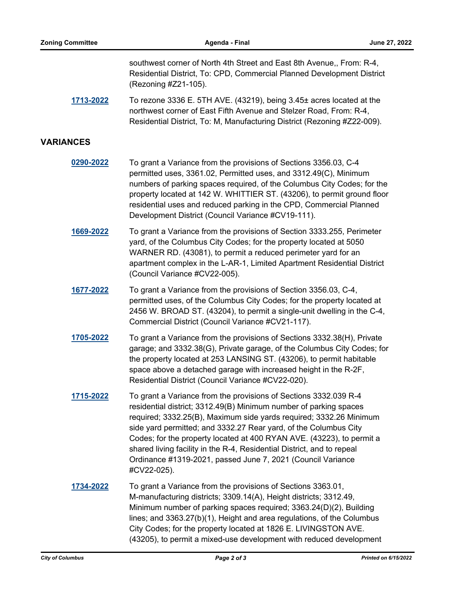southwest corner of North 4th Street and East 8th Avenue,, From: R-4, Residential District, To: CPD, Commercial Planned Development District (Rezoning #Z21-105).

**[1713-2022](http://columbus.legistar.com/gateway.aspx?m=l&id=/matter.aspx?key=123234)** To rezone 3336 E. 5TH AVE. (43219), being 3.45± acres located at the northwest corner of East Fifth Avenue and Stelzer Road, From: R-4, Residential District, To: M, Manufacturing District (Rezoning #Z22-009).

#### **VARIANCES**

- **[0290-2022](http://columbus.legistar.com/gateway.aspx?m=l&id=/matter.aspx?key=121801)** To grant a Variance from the provisions of Sections 3356.03, C-4 permitted uses, 3361.02, Permitted uses, and 3312.49(C), Minimum numbers of parking spaces required, of the Columbus City Codes; for the property located at 142 W. WHITTIER ST. (43206), to permit ground floor residential uses and reduced parking in the CPD, Commercial Planned Development District (Council Variance #CV19-111).
- **[1669-2022](http://columbus.legistar.com/gateway.aspx?m=l&id=/matter.aspx?key=123189)** To grant a Variance from the provisions of Section 3333.255, Perimeter yard, of the Columbus City Codes; for the property located at 5050 WARNER RD. (43081), to permit a reduced perimeter yard for an apartment complex in the L-AR-1, Limited Apartment Residential District (Council Variance #CV22-005).
- **[1677-2022](http://columbus.legistar.com/gateway.aspx?m=l&id=/matter.aspx?key=123197)** To grant a Variance from the provisions of Section 3356.03, C-4, permitted uses, of the Columbus City Codes; for the property located at 2456 W. BROAD ST. (43204), to permit a single-unit dwelling in the C-4, Commercial District (Council Variance #CV21-117).
- **[1705-2022](http://columbus.legistar.com/gateway.aspx?m=l&id=/matter.aspx?key=123226)** To grant a Variance from the provisions of Sections 3332.38(H), Private garage; and 3332.38(G), Private garage, of the Columbus City Codes; for the property located at 253 LANSING ST. (43206), to permit habitable space above a detached garage with increased height in the R-2F, Residential District (Council Variance #CV22-020).
- **[1715-2022](http://columbus.legistar.com/gateway.aspx?m=l&id=/matter.aspx?key=123236)** To grant a Variance from the provisions of Sections 3332.039 R-4 residential district; 3312.49(B) Minimum number of parking spaces required; 3332.25(B), Maximum side yards required; 3332.26 Minimum side yard permitted; and 3332.27 Rear yard, of the Columbus City Codes; for the property located at 400 RYAN AVE. (43223), to permit a shared living facility in the R-4, Residential District, and to repeal Ordinance #1319-2021, passed June 7, 2021 (Council Variance #CV22-025).
- **[1734-2022](http://columbus.legistar.com/gateway.aspx?m=l&id=/matter.aspx?key=123255)** To grant a Variance from the provisions of Sections 3363.01, M-manufacturing districts; 3309.14(A), Height districts; 3312.49, Minimum number of parking spaces required; 3363.24(D)(2), Building lines; and 3363.27(b)(1), Height and area regulations, of the Columbus City Codes; for the property located at 1826 E. LIVINGSTON AVE. (43205), to permit a mixed-use development with reduced development